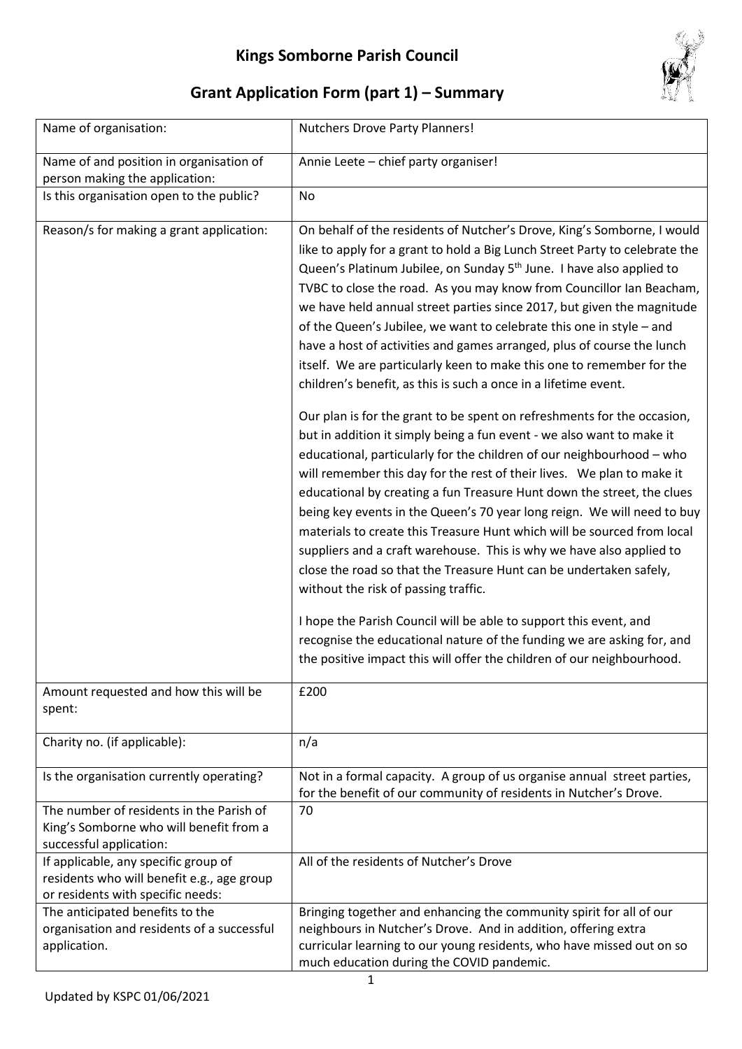

## **Grant Application Form (part 1) – Summary**

| Name of organisation:                                                                                                   | <b>Nutchers Drove Party Planners!</b>                                                                                                                                                                                                                                                                                                                                                                                                                                                                                                                                                                                                                                                                                                                                                                                                                                    |
|-------------------------------------------------------------------------------------------------------------------------|--------------------------------------------------------------------------------------------------------------------------------------------------------------------------------------------------------------------------------------------------------------------------------------------------------------------------------------------------------------------------------------------------------------------------------------------------------------------------------------------------------------------------------------------------------------------------------------------------------------------------------------------------------------------------------------------------------------------------------------------------------------------------------------------------------------------------------------------------------------------------|
| Name of and position in organisation of<br>person making the application:                                               | Annie Leete - chief party organiser!                                                                                                                                                                                                                                                                                                                                                                                                                                                                                                                                                                                                                                                                                                                                                                                                                                     |
| Is this organisation open to the public?                                                                                | No                                                                                                                                                                                                                                                                                                                                                                                                                                                                                                                                                                                                                                                                                                                                                                                                                                                                       |
| Reason/s for making a grant application:                                                                                | On behalf of the residents of Nutcher's Drove, King's Somborne, I would<br>like to apply for a grant to hold a Big Lunch Street Party to celebrate the<br>Queen's Platinum Jubilee, on Sunday 5 <sup>th</sup> June. I have also applied to<br>TVBC to close the road. As you may know from Councillor Ian Beacham,<br>we have held annual street parties since 2017, but given the magnitude<br>of the Queen's Jubilee, we want to celebrate this one in style - and<br>have a host of activities and games arranged, plus of course the lunch<br>itself. We are particularly keen to make this one to remember for the<br>children's benefit, as this is such a once in a lifetime event.                                                                                                                                                                               |
|                                                                                                                         | Our plan is for the grant to be spent on refreshments for the occasion,<br>but in addition it simply being a fun event - we also want to make it<br>educational, particularly for the children of our neighbourhood - who<br>will remember this day for the rest of their lives. We plan to make it<br>educational by creating a fun Treasure Hunt down the street, the clues<br>being key events in the Queen's 70 year long reign. We will need to buy<br>materials to create this Treasure Hunt which will be sourced from local<br>suppliers and a craft warehouse. This is why we have also applied to<br>close the road so that the Treasure Hunt can be undertaken safely,<br>without the risk of passing traffic.<br>I hope the Parish Council will be able to support this event, and<br>recognise the educational nature of the funding we are asking for, and |
|                                                                                                                         | the positive impact this will offer the children of our neighbourhood.                                                                                                                                                                                                                                                                                                                                                                                                                                                                                                                                                                                                                                                                                                                                                                                                   |
| Amount requested and how this will be<br>spent:                                                                         | £200                                                                                                                                                                                                                                                                                                                                                                                                                                                                                                                                                                                                                                                                                                                                                                                                                                                                     |
| Charity no. (if applicable):                                                                                            | n/a                                                                                                                                                                                                                                                                                                                                                                                                                                                                                                                                                                                                                                                                                                                                                                                                                                                                      |
| Is the organisation currently operating?                                                                                | Not in a formal capacity. A group of us organise annual street parties,<br>for the benefit of our community of residents in Nutcher's Drove.                                                                                                                                                                                                                                                                                                                                                                                                                                                                                                                                                                                                                                                                                                                             |
| The number of residents in the Parish of<br>King's Somborne who will benefit from a<br>successful application:          | 70                                                                                                                                                                                                                                                                                                                                                                                                                                                                                                                                                                                                                                                                                                                                                                                                                                                                       |
| If applicable, any specific group of<br>residents who will benefit e.g., age group<br>or residents with specific needs: | All of the residents of Nutcher's Drove                                                                                                                                                                                                                                                                                                                                                                                                                                                                                                                                                                                                                                                                                                                                                                                                                                  |
| The anticipated benefits to the<br>organisation and residents of a successful<br>application.                           | Bringing together and enhancing the community spirit for all of our<br>neighbours in Nutcher's Drove. And in addition, offering extra<br>curricular learning to our young residents, who have missed out on so<br>much education during the COVID pandemic.                                                                                                                                                                                                                                                                                                                                                                                                                                                                                                                                                                                                              |